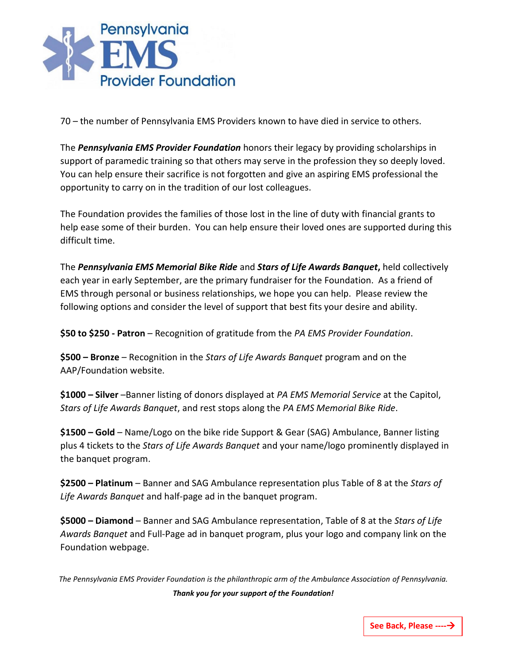

70 – the number of Pennsylvania EMS Providers known to have died in service to others.

The *Pennsylvania EMS Provider Foundation* honors their legacy by providing scholarships in support of paramedic training so that others may serve in the profession they so deeply loved. You can help ensure their sacrifice is not forgotten and give an aspiring EMS professional the opportunity to carry on in the tradition of our lost colleagues.

The Foundation provides the families of those lost in the line of duty with financial grants to help ease some of their burden. You can help ensure their loved ones are supported during this difficult time.

The *Pennsylvania EMS Memorial Bike Ride* and *Stars of Life Awards Banquet***,** held collectively each year in early September, are the primary fundraiser for the Foundation. As a friend of EMS through personal or business relationships, we hope you can help. Please review the following options and consider the level of support that best fits your desire and ability.

**\$50 to \$250 - Patron** – Recognition of gratitude from the *PA EMS Provider Foundation*.

**\$500 – Bronze** – Recognition in the *Stars of Life Awards Banquet* program and on the AAP/Foundation website.

**\$1000 – Silver** –Banner listing of donors displayed at *PA EMS Memorial Service* at the Capitol, *Stars of Life Awards Banquet*, and rest stops along the *PA EMS Memorial Bike Ride*.

**\$1500 – Gold** – Name/Logo on the bike ride Support & Gear (SAG) Ambulance, Banner listing plus 4 tickets to the *Stars of Life Awards Banquet* and your name/logo prominently displayed in the banquet program.

**\$2500 – Platinum** – Banner and SAG Ambulance representation plus Table of 8 at the *Stars of Life Awards Banquet* and half-page ad in the banquet program.

**\$5000 – Diamond** – Banner and SAG Ambulance representation, Table of 8 at the *Stars of Life Awards Banquet* and Full-Page ad in banquet program, plus your logo and company link on the Foundation webpage.

*The Pennsylvania EMS Provider Foundation is the philanthropic arm of the Ambulance Association of Pennsylvania. Thank you for your support of the Foundation!*